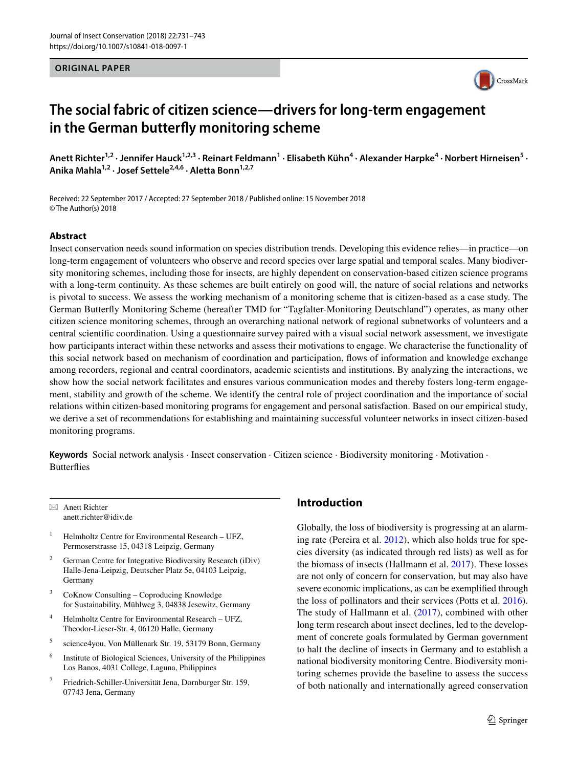#### **ORIGINAL PAPER**



# **The social fabric of citizen science—drivers for long-term engagement in the German butterfly monitoring scheme**

Anett Richter<sup>1,2</sup> · Jennifer Hauck<sup>1,2,3</sup> · Reinart Feldmann<sup>1</sup> · Elisabeth Kühn<sup>4</sup> · Alexander Harpke<sup>4</sup> · Norbert Hirneisen<sup>5</sup> · **Anika Mahla1,2 · Josef Settele2,4,6 · Aletta Bonn1,2,7**

Received: 22 September 2017 / Accepted: 27 September 2018 / Published online: 15 November 2018 © The Author(s) 2018

#### **Abstract**

Insect conservation needs sound information on species distribution trends. Developing this evidence relies—in practice—on long-term engagement of volunteers who observe and record species over large spatial and temporal scales. Many biodiversity monitoring schemes, including those for insects, are highly dependent on conservation-based citizen science programs with a long-term continuity. As these schemes are built entirely on good will, the nature of social relations and networks is pivotal to success. We assess the working mechanism of a monitoring scheme that is citizen-based as a case study. The German Butterfly Monitoring Scheme (hereafter TMD for "Tagfalter-Monitoring Deutschland") operates, as many other citizen science monitoring schemes, through an overarching national network of regional subnetworks of volunteers and a central scientific coordination. Using a questionnaire survey paired with a visual social network assessment, we investigate how participants interact within these networks and assess their motivations to engage. We characterise the functionality of this social network based on mechanism of coordination and participation, flows of information and knowledge exchange among recorders, regional and central coordinators, academic scientists and institutions. By analyzing the interactions, we show how the social network facilitates and ensures various communication modes and thereby fosters long-term engagement, stability and growth of the scheme. We identify the central role of project coordination and the importance of social relations within citizen-based monitoring programs for engagement and personal satisfaction. Based on our empirical study, we derive a set of recommendations for establishing and maintaining successful volunteer networks in insect citizen-based monitoring programs.

**Keywords** Social network analysis · Insect conservation · Citizen science · Biodiversity monitoring · Motivation · **Butterflies** 

 $\boxtimes$  Anett Richter anett.richter@idiv.de

<sup>1</sup> Helmholtz Centre for Environmental Research – UFZ, Permoserstrasse 15, 04318 Leipzig, Germany

- <sup>2</sup> German Centre for Integrative Biodiversity Research (iDiv) Halle-Jena-Leipzig, Deutscher Platz 5e, 04103 Leipzig, Germany
- <sup>3</sup> CoKnow Consulting Coproducing Knowledge for Sustainability, Mühlweg 3, 04838 Jesewitz, Germany
- <sup>4</sup> Helmholtz Centre for Environmental Research UFZ, Theodor-Lieser-Str. 4, 06120 Halle, Germany
- <sup>5</sup> science4you, Von Müllenark Str. 19, 53179 Bonn, Germany
- <sup>6</sup> Institute of Biological Sciences, University of the Philippines Los Banos, 4031 College, Laguna, Philippines
- <sup>7</sup> Friedrich-Schiller-Universität Jena, Dornburger Str. 159, 07743 Jena, Germany

# **Introduction**

Globally, the loss of biodiversity is progressing at an alarming rate (Pereira et al. [2012](#page-11-0)), which also holds true for species diversity (as indicated through red lists) as well as for the biomass of insects (Hallmann et al. [2017](#page-11-1)). These losses are not only of concern for conservation, but may also have severe economic implications, as can be exemplified through the loss of pollinators and their services (Potts et al. [2016](#page-11-2)). The study of Hallmann et al. [\(2017\)](#page-11-1), combined with other long term research about insect declines, led to the development of concrete goals formulated by German government to halt the decline of insects in Germany and to establish a national biodiversity monitoring Centre. Biodiversity monitoring schemes provide the baseline to assess the success of both nationally and internationally agreed conservation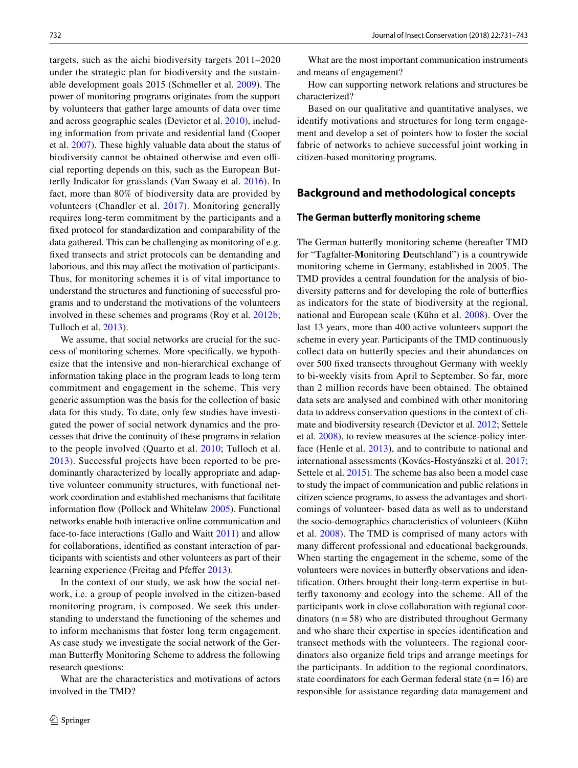targets, such as the aichi biodiversity targets 2011–2020 under the strategic plan for biodiversity and the sustainable development goals 2015 (Schmeller et al. [2009\)](#page-12-0). The power of monitoring programs originates from the support by volunteers that gather large amounts of data over time and across geographic scales (Devictor et al. [2010](#page-11-3)), including information from private and residential land (Cooper et al. [2007\)](#page-10-0). These highly valuable data about the status of biodiversity cannot be obtained otherwise and even official reporting depends on this, such as the European Butterfly Indicator for grasslands (Van Swaay et al. [2016\)](#page-12-1). In fact, more than 80% of biodiversity data are provided by volunteers (Chandler et al. [2017](#page-10-1)). Monitoring generally requires long-term commitment by the participants and a fixed protocol for standardization and comparability of the data gathered. This can be challenging as monitoring of e.g. fixed transects and strict protocols can be demanding and laborious, and this may affect the motivation of participants. Thus, for monitoring schemes it is of vital importance to understand the structures and functioning of successful programs and to understand the motivations of the volunteers involved in these schemes and programs (Roy et al. [2012b](#page-11-4); Tulloch et al. [2013\)](#page-12-2).

We assume, that social networks are crucial for the success of monitoring schemes. More specifically, we hypothesize that the intensive and non-hierarchical exchange of information taking place in the program leads to long term commitment and engagement in the scheme. This very generic assumption was the basis for the collection of basic data for this study. To date, only few studies have investigated the power of social network dynamics and the processes that drive the continuity of these programs in relation to the people involved (Quarto et al. [2010;](#page-11-5) Tulloch et al. [2013\)](#page-12-2). Successful projects have been reported to be predominantly characterized by locally appropriate and adaptive volunteer community structures, with functional network coordination and established mechanisms that facilitate information flow (Pollock and Whitelaw [2005](#page-11-6)). Functional networks enable both interactive online communication and face-to-face interactions (Gallo and Waitt [2011](#page-11-7)) and allow for collaborations, identified as constant interaction of participants with scientists and other volunteers as part of their learning experience (Freitag and Pfeffer [2013](#page-11-8)).

In the context of our study, we ask how the social network, i.e. a group of people involved in the citizen-based monitoring program, is composed. We seek this understanding to understand the functioning of the schemes and to inform mechanisms that foster long term engagement. As case study we investigate the social network of the German Butterfly Monitoring Scheme to address the following research questions:

What are the characteristics and motivations of actors involved in the TMD?

What are the most important communication instruments and means of engagement?

How can supporting network relations and structures be characterized?

Based on our qualitative and quantitative analyses, we identify motivations and structures for long term engagement and develop a set of pointers how to foster the social fabric of networks to achieve successful joint working in citizen-based monitoring programs.

# **Background and methodological concepts**

#### **The German butterfly monitoring scheme**

The German butterfly monitoring scheme (hereafter TMD for "**T**agfalter-**M**onitoring **D**eutschland") is a countrywide monitoring scheme in Germany, established in 2005. The TMD provides a central foundation for the analysis of biodiversity patterns and for developing the role of butterflies as indicators for the state of biodiversity at the regional, national and European scale (Kühn et al. [2008](#page-11-9)). Over the last 13 years, more than 400 active volunteers support the scheme in every year. Participants of the TMD continuously collect data on butterfly species and their abundances on over 500 fixed transects throughout Germany with weekly to bi-weekly visits from April to September. So far, more than 2 million records have been obtained. The obtained data sets are analysed and combined with other monitoring data to address conservation questions in the context of climate and biodiversity research (Devictor et al. [2012;](#page-11-10) Settele et al. [2008](#page-12-3)), to review measures at the science-policy interface (Henle et al. [2013](#page-11-11)), and to contribute to national and international assessments (Kovács-Hostyánszki et al. [2017](#page-11-12); Settele et al. [2015\)](#page-12-4). The scheme has also been a model case to study the impact of communication and public relations in citizen science programs, to assess the advantages and shortcomings of volunteer- based data as well as to understand the socio-demographics characteristics of volunteers (Kühn et al. [2008](#page-11-9)). The TMD is comprised of many actors with many different professional and educational backgrounds. When starting the engagement in the scheme, some of the volunteers were novices in butterfly observations and identification. Others brought their long-term expertise in butterfly taxonomy and ecology into the scheme. All of the participants work in close collaboration with regional coordinators  $(n=58)$  who are distributed throughout Germany and who share their expertise in species identification and transect methods with the volunteers. The regional coordinators also organize field trips and arrange meetings for the participants. In addition to the regional coordinators, state coordinators for each German federal state  $(n=16)$  are responsible for assistance regarding data management and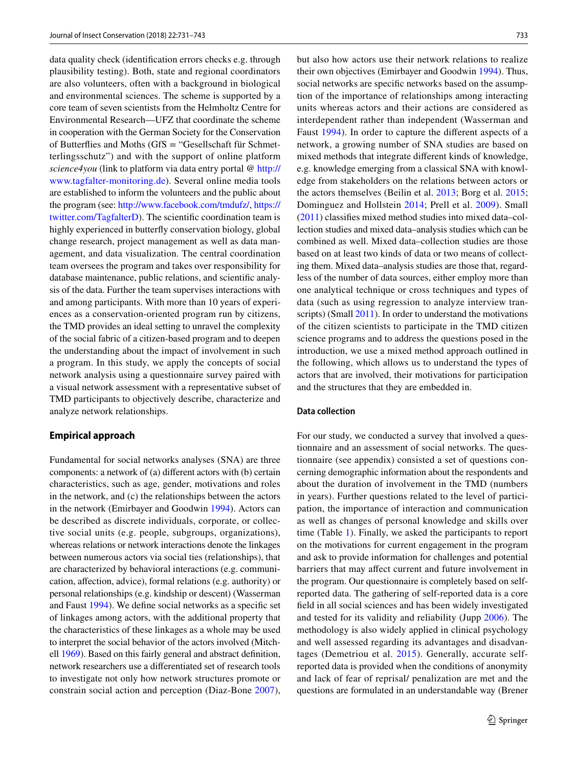data quality check (identification errors checks e.g. through plausibility testing). Both, state and regional coordinators are also volunteers, often with a background in biological and environmental sciences. The scheme is supported by a core team of seven scientists from the Helmholtz Centre for Environmental Research—UFZ that coordinate the scheme in cooperation with the German Society for the Conservation of Butterflies and Moths (GfS = "Gesellschaft für Schmetterlingsschutz") and with the support of online platform *science4you* (link to platform via data entry portal @ [http://](http://www.tagfalter-monitoring.de) [www.tagfalter-monitoring.de\)](http://www.tagfalter-monitoring.de). Several online media tools are established to inform the volunteers and the public about the program (see:<http://www.facebook.com/tmdufz/>, [https://](https://twitter.com/TagfalterD) [twitter.com/TagfalterD\)](https://twitter.com/TagfalterD). The scientific coordination team is highly experienced in butterfly conservation biology, global change research, project management as well as data management, and data visualization. The central coordination team oversees the program and takes over responsibility for database maintenance, public relations, and scientific analysis of the data. Further the team supervises interactions with and among participants. With more than 10 years of experiences as a conservation-oriented program run by citizens, the TMD provides an ideal setting to unravel the complexity of the social fabric of a citizen-based program and to deepen the understanding about the impact of involvement in such a program. In this study, we apply the concepts of social network analysis using a questionnaire survey paired with a visual network assessment with a representative subset of TMD participants to objectively describe, characterize and analyze network relationships.

#### **Empirical approach**

Fundamental for social networks analyses (SNA) are three components: a network of (a) different actors with (b) certain characteristics, such as age, gender, motivations and roles in the network, and (c) the relationships between the actors in the network (Emirbayer and Goodwin [1994](#page-11-13)). Actors can be described as discrete individuals, corporate, or collective social units (e.g. people, subgroups, organizations), whereas relations or network interactions denote the linkages between numerous actors via social ties (relationships), that are characterized by behavioral interactions (e.g. communication, affection, advice), formal relations (e.g. authority) or personal relationships (e.g. kindship or descent) (Wasserman and Faust [1994\)](#page-12-5). We define social networks as a specific set of linkages among actors, with the additional property that the characteristics of these linkages as a whole may be used to interpret the social behavior of the actors involved (Mitchell [1969\)](#page-11-14). Based on this fairly general and abstract definition, network researchers use a differentiated set of research tools to investigate not only how network structures promote or constrain social action and perception (Diaz-Bone [2007](#page-11-15)),

but also how actors use their network relations to realize their own objectives (Emirbayer and Goodwin [1994](#page-11-13)). Thus, social networks are specific networks based on the assumption of the importance of relationships among interacting units whereas actors and their actions are considered as interdependent rather than independent (Wasserman and Faust [1994\)](#page-12-5). In order to capture the different aspects of a network, a growing number of SNA studies are based on mixed methods that integrate different kinds of knowledge, e.g. knowledge emerging from a classical SNA with knowledge from stakeholders on the relations between actors or the actors themselves (Beilin et al. [2013;](#page-10-2) Borg et al. [2015](#page-10-3); Dominguez and Hollstein [2014](#page-11-16); Prell et al. [2009](#page-11-17)). Small [\(2011](#page-12-6)) classifies mixed method studies into mixed data–collection studies and mixed data–analysis studies which can be combined as well. Mixed data–collection studies are those based on at least two kinds of data or two means of collecting them. Mixed data–analysis studies are those that, regardless of the number of data sources, either employ more than one analytical technique or cross techniques and types of data (such as using regression to analyze interview tran-scripts) (Small [2011](#page-12-6)). In order to understand the motivations of the citizen scientists to participate in the TMD citizen science programs and to address the questions posed in the introduction, we use a mixed method approach outlined in the following, which allows us to understand the types of actors that are involved, their motivations for participation and the structures that they are embedded in.

#### **Data collection**

For our study, we conducted a survey that involved a questionnaire and an assessment of social networks. The questionnaire (see appendix) consisted a set of questions concerning demographic information about the respondents and about the duration of involvement in the TMD (numbers in years). Further questions related to the level of participation, the importance of interaction and communication as well as changes of personal knowledge and skills over time (Table [1\)](#page-3-0). Finally, we asked the participants to report on the motivations for current engagement in the program and ask to provide information for challenges and potential barriers that may affect current and future involvement in the program. Our questionnaire is completely based on selfreported data. The gathering of self-reported data is a core field in all social sciences and has been widely investigated and tested for its validity and reliability (Jupp [2006](#page-11-18)). The methodology is also widely applied in clinical psychology and well assessed regarding its advantages and disadvantages (Demetriou et al. [2015\)](#page-11-19). Generally, accurate selfreported data is provided when the conditions of anonymity and lack of fear of reprisal/ penalization are met and the questions are formulated in an understandable way (Brener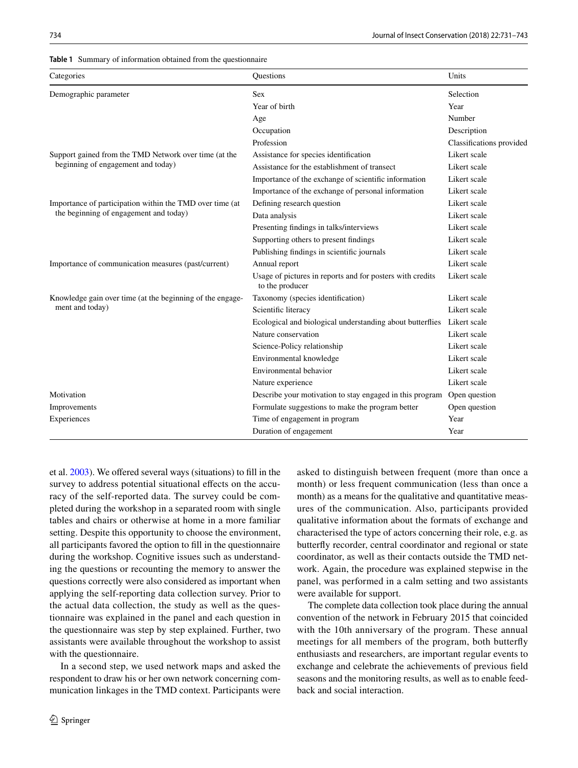<span id="page-3-0"></span>

|  |  | <b>Table 1</b> Summary of information obtained from the questionnaire |  |
|--|--|-----------------------------------------------------------------------|--|
|--|--|-----------------------------------------------------------------------|--|

| Categories                                                | <b>Ouestions</b>                                                                                                                                                                                                                                                                                                                                                                                                                                                                                                    | Units                    |
|-----------------------------------------------------------|---------------------------------------------------------------------------------------------------------------------------------------------------------------------------------------------------------------------------------------------------------------------------------------------------------------------------------------------------------------------------------------------------------------------------------------------------------------------------------------------------------------------|--------------------------|
| Demographic parameter                                     | Sex                                                                                                                                                                                                                                                                                                                                                                                                                                                                                                                 | Selection                |
|                                                           | Year of birth                                                                                                                                                                                                                                                                                                                                                                                                                                                                                                       | Year                     |
|                                                           | Age                                                                                                                                                                                                                                                                                                                                                                                                                                                                                                                 | Number                   |
|                                                           | Occupation                                                                                                                                                                                                                                                                                                                                                                                                                                                                                                          | Description              |
|                                                           | Profession                                                                                                                                                                                                                                                                                                                                                                                                                                                                                                          | Classifications provided |
| Support gained from the TMD Network over time (at the     | Assistance for species identification                                                                                                                                                                                                                                                                                                                                                                                                                                                                               | Likert scale             |
| beginning of engagement and today)                        | Assistance for the establishment of transect                                                                                                                                                                                                                                                                                                                                                                                                                                                                        | Likert scale             |
|                                                           | Importance of the exchange of scientific information                                                                                                                                                                                                                                                                                                                                                                                                                                                                | Likert scale             |
|                                                           | Importance of the exchange of personal information<br>Defining research question<br>Data analysis<br>Presenting findings in talks/interviews<br>Supporting others to present findings<br>Publishing findings in scientific journals<br>Annual report<br>Usage of pictures in reports and for posters with credits<br>to the producer<br>Taxonomy (species identification)<br>Scientific literacy<br>Ecological and biological understanding about butterflies<br>Nature conservation<br>Science-Policy relationship | Likert scale             |
| Importance of participation within the TMD over time (at  |                                                                                                                                                                                                                                                                                                                                                                                                                                                                                                                     | Likert scale             |
| the beginning of engagement and today)                    |                                                                                                                                                                                                                                                                                                                                                                                                                                                                                                                     | Likert scale             |
|                                                           |                                                                                                                                                                                                                                                                                                                                                                                                                                                                                                                     | Likert scale             |
|                                                           |                                                                                                                                                                                                                                                                                                                                                                                                                                                                                                                     | Likert scale             |
|                                                           |                                                                                                                                                                                                                                                                                                                                                                                                                                                                                                                     | Likert scale             |
| Importance of communication measures (past/current)       |                                                                                                                                                                                                                                                                                                                                                                                                                                                                                                                     | Likert scale             |
|                                                           |                                                                                                                                                                                                                                                                                                                                                                                                                                                                                                                     | Likert scale             |
| Knowledge gain over time (at the beginning of the engage- |                                                                                                                                                                                                                                                                                                                                                                                                                                                                                                                     | Likert scale             |
| ment and today)                                           |                                                                                                                                                                                                                                                                                                                                                                                                                                                                                                                     | Likert scale             |
|                                                           |                                                                                                                                                                                                                                                                                                                                                                                                                                                                                                                     | Likert scale             |
|                                                           |                                                                                                                                                                                                                                                                                                                                                                                                                                                                                                                     | Likert scale             |
|                                                           |                                                                                                                                                                                                                                                                                                                                                                                                                                                                                                                     | Likert scale             |
|                                                           | Environmental knowledge                                                                                                                                                                                                                                                                                                                                                                                                                                                                                             | Likert scale             |
|                                                           | Environmental behavior                                                                                                                                                                                                                                                                                                                                                                                                                                                                                              | Likert scale             |
|                                                           | Nature experience                                                                                                                                                                                                                                                                                                                                                                                                                                                                                                   | Likert scale             |
| Motivation                                                | Describe your motivation to stay engaged in this program                                                                                                                                                                                                                                                                                                                                                                                                                                                            | Open question            |
| Improvements                                              | Formulate suggestions to make the program better                                                                                                                                                                                                                                                                                                                                                                                                                                                                    | Open question            |
| Experiences                                               | Time of engagement in program                                                                                                                                                                                                                                                                                                                                                                                                                                                                                       | Year                     |
|                                                           | Duration of engagement                                                                                                                                                                                                                                                                                                                                                                                                                                                                                              | Year                     |

et al. [2003\)](#page-10-4). We offered several ways (situations) to fill in the survey to address potential situational effects on the accuracy of the self-reported data. The survey could be completed during the workshop in a separated room with single tables and chairs or otherwise at home in a more familiar setting. Despite this opportunity to choose the environment, all participants favored the option to fill in the questionnaire during the workshop. Cognitive issues such as understanding the questions or recounting the memory to answer the questions correctly were also considered as important when applying the self-reporting data collection survey. Prior to the actual data collection, the study as well as the questionnaire was explained in the panel and each question in the questionnaire was step by step explained. Further, two assistants were available throughout the workshop to assist with the questionnaire.

In a second step, we used network maps and asked the respondent to draw his or her own network concerning communication linkages in the TMD context. Participants were asked to distinguish between frequent (more than once a month) or less frequent communication (less than once a month) as a means for the qualitative and quantitative measures of the communication. Also, participants provided qualitative information about the formats of exchange and characterised the type of actors concerning their role, e.g. as butterfly recorder, central coordinator and regional or state coordinator, as well as their contacts outside the TMD network. Again, the procedure was explained stepwise in the panel, was performed in a calm setting and two assistants were available for support.

The complete data collection took place during the annual convention of the network in February 2015 that coincided with the 10th anniversary of the program. These annual meetings for all members of the program, both butterfly enthusiasts and researchers, are important regular events to exchange and celebrate the achievements of previous field seasons and the monitoring results, as well as to enable feedback and social interaction.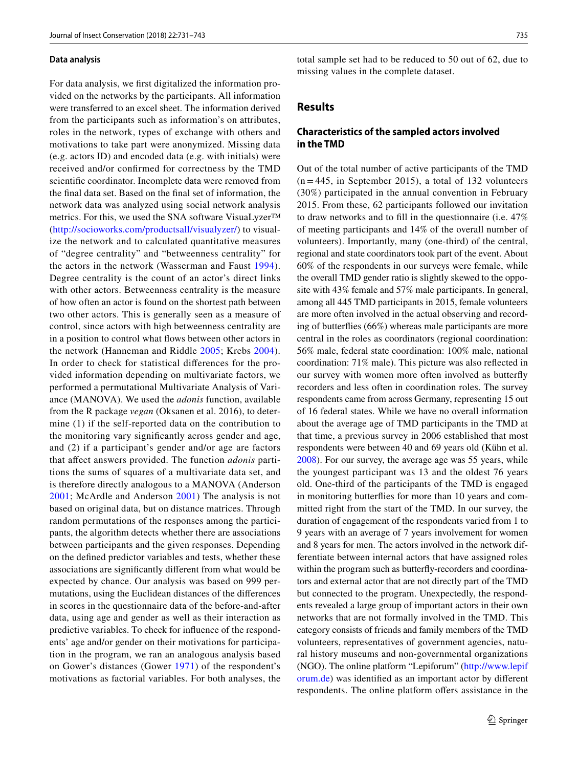#### **Data analysis**

For data analysis, we first digitalized the information provided on the networks by the participants. All information were transferred to an excel sheet. The information derived from the participants such as information's on attributes, roles in the network, types of exchange with others and motivations to take part were anonymized. Missing data (e.g. actors ID) and encoded data (e.g. with initials) were received and/or confirmed for correctness by the TMD scientific coordinator. Incomplete data were removed from the final data set. Based on the final set of information, the network data was analyzed using social network analysis metrics. For this, we used the SNA software VisuaLyzer™ (<http://socioworks.com/productsall/visualyzer/>) to visualize the network and to calculated quantitative measures of "degree centrality" and "betweenness centrality" for the actors in the network (Wasserman and Faust [1994\)](#page-12-5). Degree centrality is the count of an actor's direct links with other actors. Betweenness centrality is the measure of how often an actor is found on the shortest path between two other actors. This is generally seen as a measure of control, since actors with high betweenness centrality are in a position to control what flows between other actors in the network (Hanneman and Riddle [2005;](#page-11-20) Krebs [2004\)](#page-11-21). In order to check for statistical differences for the provided information depending on multivariate factors, we performed a permutational Multivariate Analysis of Variance (MANOVA). We used the *adonis* function, available from the R package *vegan* (Oksanen et al. 2016), to determine (1) if the self-reported data on the contribution to the monitoring vary significantly across gender and age, and (2) if a participant's gender and/or age are factors that affect answers provided. The function *adonis* partitions the sums of squares of a multivariate data set, and is therefore directly analogous to a MANOVA (Anderson [2001](#page-10-5); McArdle and Anderson [2001\)](#page-11-22) The analysis is not based on original data, but on distance matrices. Through random permutations of the responses among the participants, the algorithm detects whether there are associations between participants and the given responses. Depending on the defined predictor variables and tests, whether these associations are significantly different from what would be expected by chance. Our analysis was based on 999 permutations, using the Euclidean distances of the differences in scores in the questionnaire data of the before-and-after data, using age and gender as well as their interaction as predictive variables. To check for influence of the respondents' age and/or gender on their motivations for participation in the program, we ran an analogous analysis based on Gower's distances (Gower [1971](#page-11-23)) of the respondent's motivations as factorial variables. For both analyses, the total sample set had to be reduced to 50 out of 62, due to missing values in the complete dataset.

### **Results**

## **Characteristics of the sampled actors involved in the TMD**

Out of the total number of active participants of the TMD  $(n = 445$ , in September 2015), a total of 132 volunteers (30%) participated in the annual convention in February 2015. From these, 62 participants followed our invitation to draw networks and to fill in the questionnaire (i.e. 47% of meeting participants and 14% of the overall number of volunteers). Importantly, many (one-third) of the central, regional and state coordinators took part of the event. About 60% of the respondents in our surveys were female, while the overall TMD gender ratio is slightly skewed to the opposite with 43% female and 57% male participants. In general, among all 445 TMD participants in 2015, female volunteers are more often involved in the actual observing and recording of butterflies (66%) whereas male participants are more central in the roles as coordinators (regional coordination: 56% male, federal state coordination: 100% male, national coordination: 71% male). This picture was also reflected in our survey with women more often involved as butterfly recorders and less often in coordination roles. The survey respondents came from across Germany, representing 15 out of 16 federal states. While we have no overall information about the average age of TMD participants in the TMD at that time, a previous survey in 2006 established that most respondents were between 40 and 69 years old (Kühn et al. [2008](#page-11-9)). For our survey, the average age was 55 years, while the youngest participant was 13 and the oldest 76 years old. One-third of the participants of the TMD is engaged in monitoring butterflies for more than 10 years and committed right from the start of the TMD. In our survey, the duration of engagement of the respondents varied from 1 to 9 years with an average of 7 years involvement for women and 8 years for men. The actors involved in the network differentiate between internal actors that have assigned roles within the program such as butterfly-recorders and coordinators and external actor that are not directly part of the TMD but connected to the program. Unexpectedly, the respondents revealed a large group of important actors in their own networks that are not formally involved in the TMD. This category consists of friends and family members of the TMD volunteers, representatives of government agencies, natural history museums and non-governmental organizations (NGO). The online platform "Lepiforum" [\(http://www.lepif](http://www.lepiforum.de) [orum.de](http://www.lepiforum.de)) was identified as an important actor by different respondents. The online platform offers assistance in the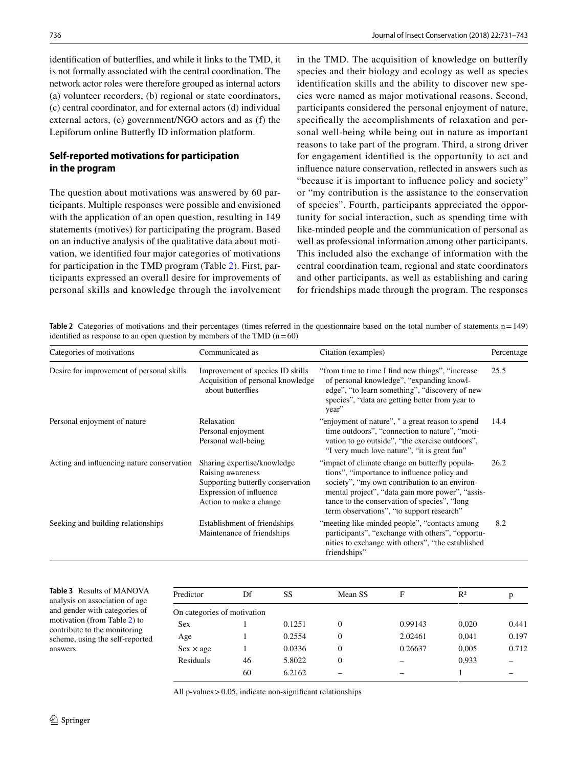identification of butterflies, and while it links to the TMD, it is not formally associated with the central coordination. The network actor roles were therefore grouped as internal actors (a) volunteer recorders, (b) regional or state coordinators, (c) central coordinator, and for external actors (d) individual external actors, (e) government/NGO actors and as (f) the Lepiforum online Butterfly ID information platform.

# **Self‑reported motivations for participation in the program**

The question about motivations was answered by 60 participants. Multiple responses were possible and envisioned with the application of an open question, resulting in 149 statements (motives) for participating the program. Based on an inductive analysis of the qualitative data about motivation, we identified four major categories of motivations for participation in the TMD program (Table [2\)](#page-5-0). First, participants expressed an overall desire for improvements of personal skills and knowledge through the involvement in the TMD. The acquisition of knowledge on butterfly species and their biology and ecology as well as species identification skills and the ability to discover new species were named as major motivational reasons. Second, participants considered the personal enjoyment of nature, specifically the accomplishments of relaxation and personal well-being while being out in nature as important reasons to take part of the program. Third, a strong driver for engagement identified is the opportunity to act and influence nature conservation, reflected in answers such as "because it is important to influence policy and society" or "my contribution is the assistance to the conservation of species". Fourth, participants appreciated the opportunity for social interaction, such as spending time with like-minded people and the communication of personal as well as professional information among other participants. This included also the exchange of information with the central coordination team, regional and state coordinators and other participants, as well as establishing and caring for friendships made through the program. The responses

<span id="page-5-0"></span>**Table 2** Categories of motivations and their percentages (times referred in the questionnaire based on the total number of statements n=149) identified as response to an open question by members of the TMD  $(n=60)$ 

| Categories of motivations                  | Communicated as                                                                                                                             | Citation (examples)                                                                                                                                                                                                                                                                              | Percentage |
|--------------------------------------------|---------------------------------------------------------------------------------------------------------------------------------------------|--------------------------------------------------------------------------------------------------------------------------------------------------------------------------------------------------------------------------------------------------------------------------------------------------|------------|
| Desire for improvement of personal skills  | Improvement of species ID skills<br>Acquisition of personal knowledge<br>about butterflies                                                  | "from time to time I find new things", "increase"<br>of personal knowledge", "expanding knowl-<br>edge", "to learn something", "discovery of new<br>species", "data are getting better from year to<br>year"                                                                                     | 25.5       |
| Personal enjoyment of nature               | Relaxation<br>Personal enjoyment<br>Personal well-being                                                                                     | "enjoyment of nature", " a great reason to spend<br>time outdoors", "connection to nature", "moti-<br>vation to go outside", "the exercise outdoors",<br>"I very much love nature", "it is great fun"                                                                                            | 14.4       |
| Acting and influencing nature conservation | Sharing expertise/knowledge<br>Raising awareness<br>Supporting butterfly conservation<br>Expression of influence<br>Action to make a change | "impact of climate change on butterfly popula-<br>tions", "importance to influence policy and<br>society", "my own contribution to an environ-<br>mental project", "data gain more power", "assis-<br>tance to the conservation of species", "long"<br>term observations", "to support research" | 26.2       |
| Seeking and building relationships         | Establishment of friendships<br>Maintenance of friendships                                                                                  | "meeting like-minded people", "contacts among"<br>participants", "exchange with others", "opportu-<br>nities to exchange with others", "the established<br>friendships"                                                                                                                          | 8.2        |

<span id="page-5-1"></span>**Table 3** Results of MANOVA analysis on association of age and gender with categories of motivation (from Table [2\)](#page-5-0) to contribute to the monitoring scheme, using the self-reported answers

| Predictor                   | Df | SS     | Mean SS  | F       | R <sup>2</sup> | р     |
|-----------------------------|----|--------|----------|---------|----------------|-------|
| On categories of motivation |    |        |          |         |                |       |
| <b>Sex</b>                  |    | 0.1251 | 0        | 0.99143 | 0,020          | 0.441 |
| Age                         |    | 0.2554 | 0        | 2.02461 | 0,041          | 0.197 |
| $Sex \times age$            |    | 0.0336 | $\theta$ | 0.26637 | 0,005          | 0.712 |
| <b>Residuals</b>            | 46 | 5.8022 | $\Omega$ |         | 0,933          |       |
|                             | 60 | 6.2162 |          | -       |                |       |

All p-values>0.05, indicate non-significant relationships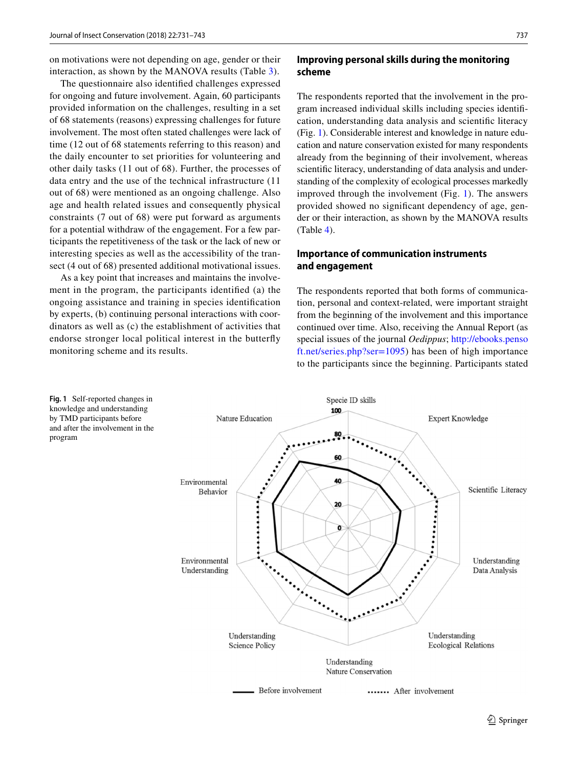on motivations were not depending on age, gender or their interaction, as shown by the MANOVA results (Table [3](#page-5-1)).

The questionnaire also identified challenges expressed for ongoing and future involvement. Again, 60 participants provided information on the challenges, resulting in a set of 68 statements (reasons) expressing challenges for future involvement. The most often stated challenges were lack of time (12 out of 68 statements referring to this reason) and the daily encounter to set priorities for volunteering and other daily tasks (11 out of 68). Further, the processes of data entry and the use of the technical infrastructure (11 out of 68) were mentioned as an ongoing challenge. Also age and health related issues and consequently physical constraints (7 out of 68) were put forward as arguments for a potential withdraw of the engagement. For a few participants the repetitiveness of the task or the lack of new or interesting species as well as the accessibility of the transect (4 out of 68) presented additional motivational issues.

As a key point that increases and maintains the involvement in the program, the participants identified (a) the ongoing assistance and training in species identification by experts, (b) continuing personal interactions with coordinators as well as (c) the establishment of activities that endorse stronger local political interest in the butterfly monitoring scheme and its results.

# **Improving personal skills during the monitoring scheme**

The respondents reported that the involvement in the program increased individual skills including species identification, understanding data analysis and scientific literacy (Fig. [1\)](#page-6-0). Considerable interest and knowledge in nature education and nature conservation existed for many respondents already from the beginning of their involvement, whereas scientific literacy, understanding of data analysis and understanding of the complexity of ecological processes markedly improved through the involvement (Fig. [1\)](#page-6-0). The answers provided showed no significant dependency of age, gender or their interaction, as shown by the MANOVA results  $(Table 4)$  $(Table 4)$ .

## **Importance of communication instruments and engagement**

The respondents reported that both forms of communication, personal and context-related, were important straight from the beginning of the involvement and this importance continued over time. Also, receiving the Annual Report (as special issues of the journal *Oedippus*; [http://ebooks.penso](http://ebooks.pensoft.net/series.php?ser=1095) [ft.net/series.php?ser=1095\)](http://ebooks.pensoft.net/series.php?ser=1095) has been of high importance to the participants since the beginning. Participants stated

<span id="page-6-0"></span>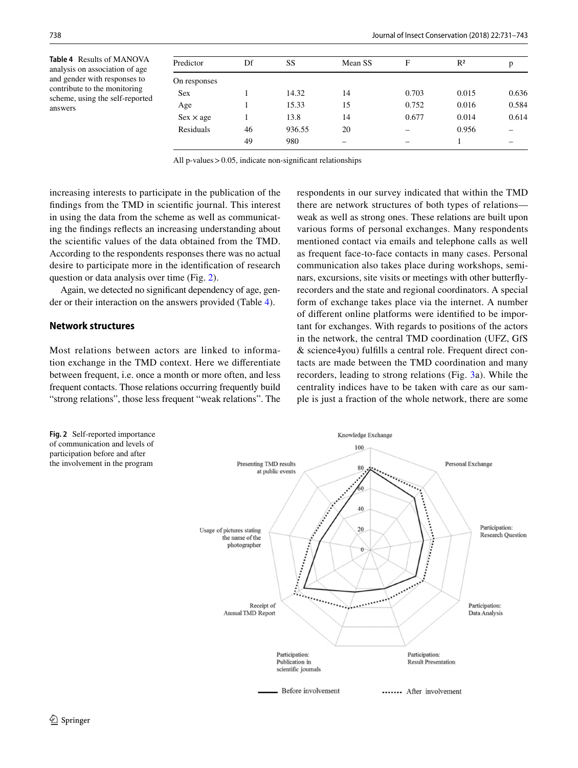<span id="page-7-0"></span>**Table 4** Results of MANOVA analysis on association of age and gender with responses to contribute to the monitoring scheme, using the self-reported answers

| Predictor        | Df | SS     | Mean SS | F     | $R^2$ | p     |
|------------------|----|--------|---------|-------|-------|-------|
| On responses     |    |        |         |       |       |       |
| <b>Sex</b>       |    | 14.32  | 14      | 0.703 | 0.015 | 0.636 |
| Age              |    | 15.33  | 15      | 0.752 | 0.016 | 0.584 |
| $Sex \times age$ |    | 13.8   | 14      | 0.677 | 0.014 | 0.614 |
| Residuals        | 46 | 936.55 | 20      | -     | 0.956 |       |
|                  | 49 | 980    | -       | -     |       |       |

All p-values > 0.05, indicate non-significant relationships

increasing interests to participate in the publication of the findings from the TMD in scientific journal. This interest in using the data from the scheme as well as communicating the findings reflects an increasing understanding about the scientific values of the data obtained from the TMD. According to the respondents responses there was no actual desire to participate more in the identification of research question or data analysis over time (Fig. [2\)](#page-7-1).

Again, we detected no significant dependency of age, gender or their interaction on the answers provided (Table [4\)](#page-7-0).

### **Network structures**

Most relations between actors are linked to information exchange in the TMD context. Here we differentiate between frequent, i.e. once a month or more often, and less frequent contacts. Those relations occurring frequently build "strong relations", those less frequent "weak relations". The respondents in our survey indicated that within the TMD there are network structures of both types of relations weak as well as strong ones. These relations are built upon various forms of personal exchanges. Many respondents mentioned contact via emails and telephone calls as well as frequent face-to-face contacts in many cases. Personal communication also takes place during workshops, seminars, excursions, site visits or meetings with other butterflyrecorders and the state and regional coordinators. A special form of exchange takes place via the internet. A number of different online platforms were identified to be important for exchanges. With regards to positions of the actors in the network, the central TMD coordination (UFZ, GfS & science4you) fulfills a central role. Frequent direct contacts are made between the TMD coordination and many recorders, leading to strong relations (Fig. [3a](#page-8-0)). While the centrality indices have to be taken with care as our sample is just a fraction of the whole network, there are some

<span id="page-7-1"></span>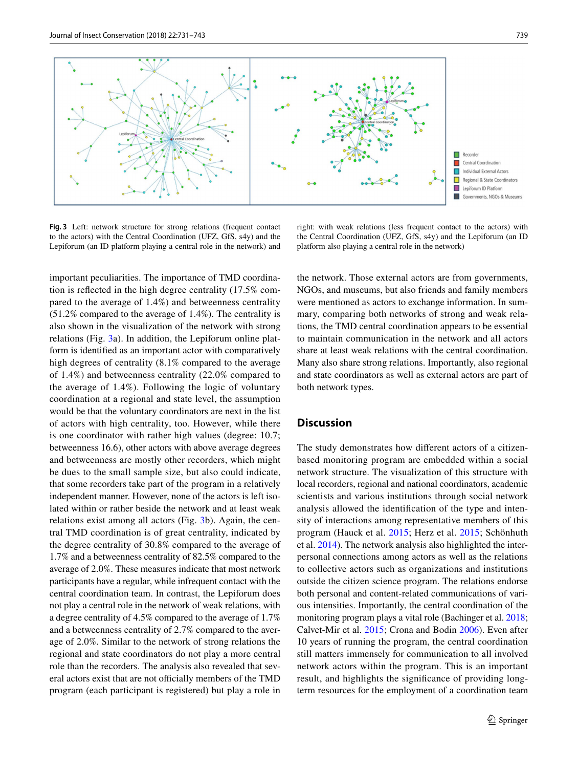

<span id="page-8-0"></span>**Fig. 3** Left: network structure for strong relations (frequent contact to the actors) with the Central Coordination (UFZ, GfS, s4y) and the Lepiforum (an ID platform playing a central role in the network) and

right: with weak relations (less frequent contact to the actors) with the Central Coordination (UFZ, GfS, s4y) and the Lepiforum (an ID platform also playing a central role in the network)

п

Governments, NGOs & Museums

important peculiarities. The importance of TMD coordination is reflected in the high degree centrality (17.5% compared to the average of 1.4%) and betweenness centrality (51.2% compared to the average of 1.4%). The centrality is also shown in the visualization of the network with strong relations (Fig. [3a](#page-8-0)). In addition, the Lepiforum online platform is identified as an important actor with comparatively high degrees of centrality (8.1% compared to the average of 1.4%) and betweenness centrality (22.0% compared to the average of 1.4%). Following the logic of voluntary coordination at a regional and state level, the assumption would be that the voluntary coordinators are next in the list of actors with high centrality, too. However, while there is one coordinator with rather high values (degree: 10.7; betweenness 16.6), other actors with above average degrees and betweenness are mostly other recorders, which might be dues to the small sample size, but also could indicate, that some recorders take part of the program in a relatively independent manner. However, none of the actors is left isolated within or rather beside the network and at least weak relations exist among all actors (Fig. [3](#page-8-0)b). Again, the central TMD coordination is of great centrality, indicated by the degree centrality of 30.8% compared to the average of 1.7% and a betweenness centrality of 82.5% compared to the average of 2.0%. These measures indicate that most network participants have a regular, while infrequent contact with the central coordination team. In contrast, the Lepiforum does not play a central role in the network of weak relations, with a degree centrality of 4.5% compared to the average of 1.7% and a betweenness centrality of 2.7% compared to the average of 2.0%. Similar to the network of strong relations the regional and state coordinators do not play a more central role than the recorders. The analysis also revealed that several actors exist that are not officially members of the TMD program (each participant is registered) but play a role in

the network. Those external actors are from governments, NGOs, and museums, but also friends and family members were mentioned as actors to exchange information. In summary, comparing both networks of strong and weak relations, the TMD central coordination appears to be essential to maintain communication in the network and all actors share at least weak relations with the central coordination. Many also share strong relations. Importantly, also regional and state coordinators as well as external actors are part of both network types.

# **Discussion**

The study demonstrates how different actors of a citizenbased monitoring program are embedded within a social network structure. The visualization of this structure with local recorders, regional and national coordinators, academic scientists and various institutions through social network analysis allowed the identification of the type and intensity of interactions among representative members of this program (Hauck et al. [2015](#page-11-24); Herz et al. [2015](#page-11-25); Schönhuth et al. [2014\)](#page-12-7). The network analysis also highlighted the interpersonal connections among actors as well as the relations to collective actors such as organizations and institutions outside the citizen science program. The relations endorse both personal and content-related communications of various intensities. Importantly, the central coordination of the monitoring program plays a vital role (Bachinger et al. [2018](#page-10-6); Calvet-Mir et al. [2015;](#page-10-7) Crona and Bodin [2006\)](#page-10-8). Even after 10 years of running the program, the central coordination still matters immensely for communication to all involved network actors within the program. This is an important result, and highlights the significance of providing longterm resources for the employment of a coordination team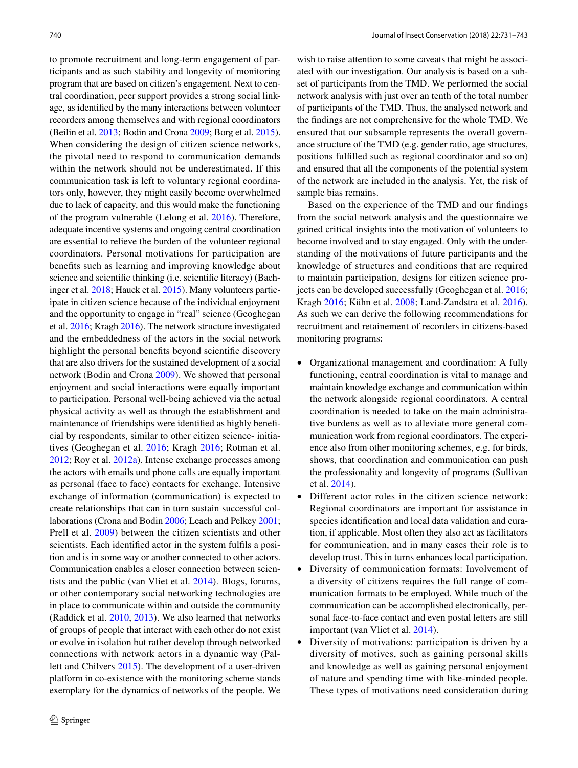to promote recruitment and long-term engagement of participants and as such stability and longevity of monitoring program that are based on citizen's engagement. Next to central coordination, peer support provides a strong social linkage, as identified by the many interactions between volunteer recorders among themselves and with regional coordinators (Beilin et al. [2013;](#page-10-2) Bodin and Crona [2009;](#page-10-9) Borg et al. [2015](#page-10-3)). When considering the design of citizen science networks, the pivotal need to respond to communication demands within the network should not be underestimated. If this communication task is left to voluntary regional coordinators only, however, they might easily become overwhelmed due to lack of capacity, and this would make the functioning of the program vulnerable (Lelong et al. [2016](#page-11-26)). Therefore, adequate incentive systems and ongoing central coordination are essential to relieve the burden of the volunteer regional coordinators. Personal motivations for participation are benefits such as learning and improving knowledge about science and scientific thinking (i.e. scientific literacy) (Bachinger et al. [2018;](#page-10-6) Hauck et al. [2015](#page-11-24)). Many volunteers participate in citizen science because of the individual enjoyment and the opportunity to engage in "real" science (Geoghegan et al. [2016](#page-11-27); Kragh [2016](#page-11-28)). The network structure investigated and the embeddedness of the actors in the social network highlight the personal benefits beyond scientific discovery that are also drivers for the sustained development of a social network (Bodin and Crona [2009\)](#page-10-9). We showed that personal enjoyment and social interactions were equally important to participation. Personal well-being achieved via the actual physical activity as well as through the establishment and maintenance of friendships were identified as highly beneficial by respondents, similar to other citizen science- initiatives (Geoghegan et al. [2016;](#page-11-27) Kragh [2016](#page-11-28); Rotman et al. [2012](#page-11-29); Roy et al. [2012a](#page-11-30)). Intense exchange processes among the actors with emails und phone calls are equally important as personal (face to face) contacts for exchange. Intensive exchange of information (communication) is expected to create relationships that can in turn sustain successful collaborations (Crona and Bodin [2006;](#page-10-8) Leach and Pelkey [2001](#page-11-31); Prell et al. [2009](#page-11-17)) between the citizen scientists and other scientists. Each identified actor in the system fulfils a position and is in some way or another connected to other actors. Communication enables a closer connection between scientists and the public (van Vliet et al. [2014\)](#page-12-8). Blogs, forums, or other contemporary social networking technologies are in place to communicate within and outside the community (Raddick et al. [2010](#page-11-32), [2013](#page-11-33)). We also learned that networks of groups of people that interact with each other do not exist or evolve in isolation but rather develop through networked connections with network actors in a dynamic way (Pallett and Chilvers [2015\)](#page-11-34). The development of a user-driven platform in co-existence with the monitoring scheme stands exemplary for the dynamics of networks of the people. We

wish to raise attention to some caveats that might be associated with our investigation. Our analysis is based on a subset of participants from the TMD. We performed the social network analysis with just over an tenth of the total number of participants of the TMD. Thus, the analysed network and the findings are not comprehensive for the whole TMD. We ensured that our subsample represents the overall governance structure of the TMD (e.g. gender ratio, age structures, positions fulfilled such as regional coordinator and so on) and ensured that all the components of the potential system of the network are included in the analysis. Yet, the risk of sample bias remains.

Based on the experience of the TMD and our findings from the social network analysis and the questionnaire we gained critical insights into the motivation of volunteers to become involved and to stay engaged. Only with the understanding of the motivations of future participants and the knowledge of structures and conditions that are required to maintain participation, designs for citizen science projects can be developed successfully (Geoghegan et al. [2016](#page-11-27); Kragh [2016](#page-11-28); Kühn et al. [2008;](#page-11-9) Land-Zandstra et al. [2016](#page-11-35)). As such we can derive the following recommendations for recruitment and retainement of recorders in citizens-based monitoring programs:

- Organizational management and coordination: A fully functioning, central coordination is vital to manage and maintain knowledge exchange and communication within the network alongside regional coordinators. A central coordination is needed to take on the main administrative burdens as well as to alleviate more general communication work from regional coordinators. The experience also from other monitoring schemes, e.g. for birds, shows, that coordination and communication can push the professionality and longevity of programs (Sullivan et al. [2014](#page-12-9)).
- Different actor roles in the citizen science network: Regional coordinators are important for assistance in species identification and local data validation and curation, if applicable. Most often they also act as facilitators for communication, and in many cases their role is to develop trust. This in turns enhances local participation.
- Diversity of communication formats: Involvement of a diversity of citizens requires the full range of communication formats to be employed. While much of the communication can be accomplished electronically, personal face-to-face contact and even postal letters are still important (van Vliet et al. [2014](#page-12-8)).
- Diversity of motivations: participation is driven by a diversity of motives, such as gaining personal skills and knowledge as well as gaining personal enjoyment of nature and spending time with like-minded people. These types of motivations need consideration during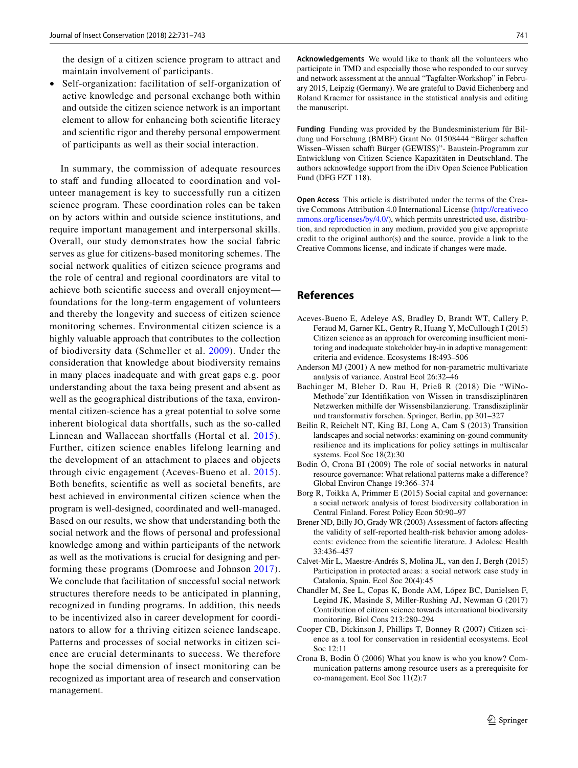the design of a citizen science program to attract and maintain involvement of participants.

• Self-organization: facilitation of self-organization of active knowledge and personal exchange both within and outside the citizen science network is an important element to allow for enhancing both scientific literacy and scientific rigor and thereby personal empowerment of participants as well as their social interaction.

In summary, the commission of adequate resources to staff and funding allocated to coordination and volunteer management is key to successfully run a citizen science program. These coordination roles can be taken on by actors within and outside science institutions, and require important management and interpersonal skills. Overall, our study demonstrates how the social fabric serves as glue for citizens-based monitoring schemes. The social network qualities of citizen science programs and the role of central and regional coordinators are vital to achieve both scientific success and overall enjoyment foundations for the long-term engagement of volunteers and thereby the longevity and success of citizen science monitoring schemes. Environmental citizen science is a highly valuable approach that contributes to the collection of biodiversity data (Schmeller et al. [2009\)](#page-12-0). Under the consideration that knowledge about biodiversity remains in many places inadequate and with great gaps e.g. poor understanding about the taxa being present and absent as well as the geographical distributions of the taxa, environmental citizen-science has a great potential to solve some inherent biological data shortfalls, such as the so-called Linnean and Wallacean shortfalls (Hortal et al. [2015\)](#page-11-36). Further, citizen science enables lifelong learning and the development of an attachment to places and objects through civic engagement (Aceves-Bueno et al. [2015](#page-10-10)). Both benefits, scientific as well as societal benefits, are best achieved in environmental citizen science when the program is well-designed, coordinated and well-managed. Based on our results, we show that understanding both the social network and the flows of personal and professional knowledge among and within participants of the network as well as the motivations is crucial for designing and performing these programs (Domroese and Johnson [2017\)](#page-11-37). We conclude that facilitation of successful social network structures therefore needs to be anticipated in planning, recognized in funding programs. In addition, this needs to be incentivized also in career development for coordinators to allow for a thriving citizen science landscape. Patterns and processes of social networks in citizen science are crucial determinants to success. We therefore hope the social dimension of insect monitoring can be recognized as important area of research and conservation management.

**Acknowledgements** We would like to thank all the volunteers who participate in TMD and especially those who responded to our survey and network assessment at the annual "Tagfalter-Workshop" in February 2015, Leipzig (Germany). We are grateful to David Eichenberg and Roland Kraemer for assistance in the statistical analysis and editing the manuscript.

**Funding** Funding was provided by the Bundesministerium für Bildung und Forschung (BMBF) Grant No. 01508444 "Bürger schaffen Wissen–Wissen schafft Bürger (GEWISS)"- Baustein-Programm zur Entwicklung von Citizen Science Kapazitäten in Deutschland. The authors acknowledge support from the iDiv Open Science Publication Fund (DFG FZT 118).

**Open Access** This article is distributed under the terms of the Creative Commons Attribution 4.0 International License ([http://creativeco](http://creativecommons.org/licenses/by/4.0/) [mmons.org/licenses/by/4.0/](http://creativecommons.org/licenses/by/4.0/)), which permits unrestricted use, distribution, and reproduction in any medium, provided you give appropriate credit to the original author(s) and the source, provide a link to the Creative Commons license, and indicate if changes were made.

## **References**

- <span id="page-10-10"></span>Aceves-Bueno E, Adeleye AS, Bradley D, Brandt WT, Callery P, Feraud M, Garner KL, Gentry R, Huang Y, McCullough I (2015) Citizen science as an approach for overcoming insufficient monitoring and inadequate stakeholder buy-in in adaptive management: criteria and evidence. Ecosystems 18:493–506
- <span id="page-10-5"></span>Anderson MJ (2001) A new method for non-parametric multivariate analysis of variance. Austral Ecol 26:32–46
- <span id="page-10-6"></span>Bachinger M, Bleher D, Rau H, Prieß R (2018) Die "WiNo-Methode"zur Identifikation von Wissen in transdisziplinären Netzwerken mithilfe der Wissensbilanzierung. Transdisziplinär und transformativ forschen. Springer, Berlin, pp 301–327
- <span id="page-10-2"></span>Beilin R, Reichelt NT, King BJ, Long A, Cam S (2013) Transition landscapes and social networks: examining on-gound community resilience and its implications for policy settings in multiscalar systems. Ecol Soc 18(2):30
- <span id="page-10-9"></span>Bodin Ö, Crona BI (2009) The role of social networks in natural resource governance: What relational patterns make a difference? Global Environ Change 19:366–374
- <span id="page-10-3"></span>Borg R, Toikka A, Primmer E (2015) Social capital and governance: a social network analysis of forest biodiversity collaboration in Central Finland. Forest Policy Econ 50:90–97
- <span id="page-10-4"></span>Brener ND, Billy JO, Grady WR (2003) Assessment of factors affecting the validity of self-reported health-risk behavior among adolescents: evidence from the scientific literature. J Adolesc Health 33:436–457
- <span id="page-10-7"></span>Calvet-Mir L, Maestre-Andrés S, Molina JL, van den J, Bergh (2015) Participation in protected areas: a social network case study in Catalonia, Spain. Ecol Soc 20(4):45
- <span id="page-10-1"></span>Chandler M, See L, Copas K, Bonde AM, López BC, Danielsen F, Legind JK, Masinde S, Miller-Rushing AJ, Newman G (2017) Contribution of citizen science towards international biodiversity monitoring. Biol Cons 213:280–294
- <span id="page-10-0"></span>Cooper CB, Dickinson J, Phillips T, Bonney R (2007) Citizen science as a tool for conservation in residential ecosystems. Ecol Soc 12:11
- <span id="page-10-8"></span>Crona B, Bodin Ö (2006) What you know is who you know? Communication patterns among resource users as a prerequisite for co-management. Ecol Soc 11(2):7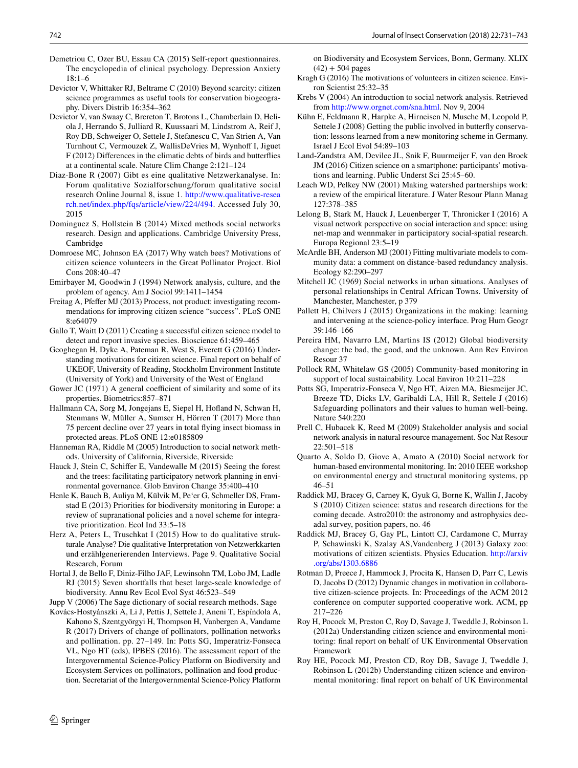- <span id="page-11-19"></span>Demetriou C, Ozer BU, Essau CA (2015) Self-report questionnaires. The encyclopedia of clinical psychology. Depression Anxiety 18:1–6
- <span id="page-11-3"></span>Devictor V, Whittaker RJ, Beltrame C (2010) Beyond scarcity: citizen science programmes as useful tools for conservation biogeography. Divers Distrib 16:354–362
- <span id="page-11-10"></span>Devictor V, van Swaay C, Brereton T, Brotons L, Chamberlain D, Heliola J, Herrando S, Julliard R, Kuussaari M, Lindstrom A, Reif J, Roy DB, Schweiger O, Settele J, Stefanescu C, Van Strien A, Van Turnhout C, Vermouzek Z, WallisDeVries M, Wynhoff I, Jiguet F (2012) Differences in the climatic debts of birds and butterflies at a continental scale. Nature Clim Change 2:121–124
- <span id="page-11-15"></span>Diaz-Bone R (2007) Gibt es eine qualitative Netzwerkanalyse. In: Forum qualitative Sozialforschung/forum qualitative social research Online Journal 8, issue 1. [http://www.qualitative-resea](http://www.qualitative-research.net/index.php/fqs/article/view/224/494) [rch.net/index.php/fqs/article/view/224/494.](http://www.qualitative-research.net/index.php/fqs/article/view/224/494) Accessed July 30, 2015
- <span id="page-11-16"></span>Dominguez S, Hollstein B (2014) Mixed methods social networks research. Design and applications. Cambridge University Press, Cambridge
- <span id="page-11-37"></span>Domroese MC, Johnson EA (2017) Why watch bees? Motivations of citizen science volunteers in the Great Pollinator Project. Biol Cons 208:40–47
- <span id="page-11-13"></span>Emirbayer M, Goodwin J (1994) Network analysis, culture, and the problem of agency. Am J Sociol 99:1411–1454
- <span id="page-11-8"></span>Freitag A, Pfeffer MJ (2013) Process, not product: investigating recommendations for improving citizen science "success". PLoS ONE 8:e64079
- <span id="page-11-7"></span>Gallo T, Waitt D (2011) Creating a successful citizen science model to detect and report invasive species. Bioscience 61:459–465
- <span id="page-11-27"></span>Geoghegan H, Dyke A, Pateman R, West S, Everett G (2016) Understanding motivations for citizen science. Final report on behalf of UKEOF, University of Reading, Stockholm Environment Institute (University of York) and University of the West of England
- <span id="page-11-23"></span>Gower JC (1971) A general coefficient of similarity and some of its properties. Biometrics:857–871
- <span id="page-11-1"></span>Hallmann CA, Sorg M, Jongejans E, Siepel H, Hofland N, Schwan H, Stenmans W, Müller A, Sumser H, Hörren T (2017) More than 75 percent decline over 27 years in total flying insect biomass in protected areas. PLoS ONE 12:e0185809
- <span id="page-11-20"></span>Hanneman RA, Riddle M (2005) Introduction to social network methods. University of California, Riverside, Riverside
- <span id="page-11-24"></span>Hauck J, Stein C, Schiffer E, Vandewalle M (2015) Seeing the forest and the trees: facilitating participatory network planning in environmental governance. Glob Environ Change 35:400–410
- <span id="page-11-11"></span>Henle K, Bauch B, Auliya M, Külvik M, Pe'er G, Schmeller DS, Framstad E (2013) Priorities for biodiversity monitoring in Europe: a review of supranational policies and a novel scheme for integrative prioritization. Ecol Ind 33:5–18
- <span id="page-11-25"></span>Herz A, Peters L, Truschkat I (2015) How to do qualitative strukturale Analyse? Die qualitative Interpretation von Netzwerkkarten und erzählgenerierenden Interviews. Page 9. Qualitative Social Research, Forum
- <span id="page-11-36"></span>Hortal J, de Bello F, Diniz-Filho JAF, Lewinsohn TM, Lobo JM, Ladle RJ (2015) Seven shortfalls that beset large-scale knowledge of biodiversity. Annu Rev Ecol Evol Syst 46:523–549

<span id="page-11-18"></span>Jupp V (2006) The Sage dictionary of social research methods. Sage

<span id="page-11-12"></span>Kovács-Hostyánszki A, Li J, Pettis J, Settele J, Aneni T, Espíndola A, Kahono S, Szentgyörgyi H, Thompson H, Vanbergen A, Vandame R (2017) Drivers of change of pollinators, pollination networks and pollination. pp. 27–149. In: Potts SG, Imperatriz-Fonseca VL, Ngo HT (eds), IPBES (2016). The assessment report of the Intergovernmental Science-Policy Platform on Biodiversity and Ecosystem Services on pollinators, pollination and food production. Secretariat of the Intergovernmental Science-Policy Platform on Biodiversity and Ecosystem Services, Bonn, Germany. XLIX  $(42) + 504$  pages

- <span id="page-11-28"></span>Kragh G (2016) The motivations of volunteers in citizen science. Environ Scientist 25:32–35
- <span id="page-11-21"></span>Krebs V (2004) An introduction to social network analysis. Retrieved from <http://www.orgnet.com/sna.html>. Nov 9, 2004
- <span id="page-11-9"></span>Kühn E, Feldmann R, Harpke A, Hirneisen N, Musche M, Leopold P, Settele J (2008) Getting the public involved in butterfly conservation: lessons learned from a new monitoring scheme in Germany. Israel J Ecol Evol 54:89–103
- <span id="page-11-35"></span>Land-Zandstra AM, Devilee JL, Snik F, Buurmeijer F, van den Broek JM (2016) Citizen science on a smartphone: participants' motivations and learning. Public Underst Sci 25:45–60.
- <span id="page-11-31"></span>Leach WD, Pelkey NW (2001) Making watershed partnerships work: a review of the empirical literature. J Water Resour Plann Manag 127:378–385
- <span id="page-11-26"></span>Lelong B, Stark M, Hauck J, Leuenberger T, Thronicker I (2016) A visual network perspective on social interaction and space: using net-map and wennmaker in participatory social-spatial research. Europa Regional 23:5–19
- <span id="page-11-22"></span>McArdle BH, Anderson MJ (2001) Fitting multivariate models to community data: a comment on distance-based redundancy analysis. Ecology 82:290–297
- <span id="page-11-14"></span>Mitchell JC (1969) Social networks in urban situations. Analyses of personal relationships in Central African Towns. University of Manchester, Manchester, p 379
- <span id="page-11-34"></span>Pallett H, Chilvers J (2015) Organizations in the making: learning and intervening at the science-policy interface. Prog Hum Geogr 39:146–166
- <span id="page-11-0"></span>Pereira HM, Navarro LM, Martins IS (2012) Global biodiversity change: the bad, the good, and the unknown. Ann Rev Environ Resour 37
- <span id="page-11-6"></span>Pollock RM, Whitelaw GS (2005) Community-based monitoring in support of local sustainability. Local Environ 10:211–228
- <span id="page-11-2"></span>Potts SG, Imperatriz-Fonseca V, Ngo HT, Aizen MA, Biesmeijer JC, Breeze TD, Dicks LV, Garibaldi LA, Hill R, Settele J (2016) Safeguarding pollinators and their values to human well-being. Nature 540:220
- <span id="page-11-17"></span>Prell C, Hubacek K, Reed M (2009) Stakeholder analysis and social network analysis in natural resource management. Soc Nat Resour 22:501–518
- <span id="page-11-5"></span>Quarto A, Soldo D, Giove A, Amato A (2010) Social network for human-based environmental monitoring. In: 2010 IEEE workshop on environmental energy and structural monitoring systems, pp 46–51
- <span id="page-11-32"></span>Raddick MJ, Bracey G, Carney K, Gyuk G, Borne K, Wallin J, Jacoby S (2010) Citizen science: status and research directions for the coming decade. Astro2010: the astronomy and astrophysics decadal survey, position papers, no. 46
- <span id="page-11-33"></span>Raddick MJ, Bracey G, Gay PL, Lintott CJ, Cardamone C, Murray P, Schawinski K, Szalay AS,Vandenberg J (2013) Galaxy zoo: motivations of citizen scientists. Physics Education. [http://arxiv](http://arxiv.org/abs/1303.6886) [.org/abs/1303.6886](http://arxiv.org/abs/1303.6886)
- <span id="page-11-29"></span>Rotman D, Preece J, Hammock J, Procita K, Hansen D, Parr C, Lewis D, Jacobs D (2012) Dynamic changes in motivation in collaborative citizen-science projects. In: Proceedings of the ACM 2012 conference on computer supported cooperative work. ACM, pp 217–226
- <span id="page-11-30"></span>Roy H, Pocock M, Preston C, Roy D, Savage J, Tweddle J, Robinson L (2012a) Understanding citizen science and environmental monitoring: final report on behalf of UK Environmental Observation Framework
- <span id="page-11-4"></span>Roy HE, Pocock MJ, Preston CD, Roy DB, Savage J, Tweddle J, Robinson L (2012b) Understanding citizen science and environmental monitoring: final report on behalf of UK Environmental